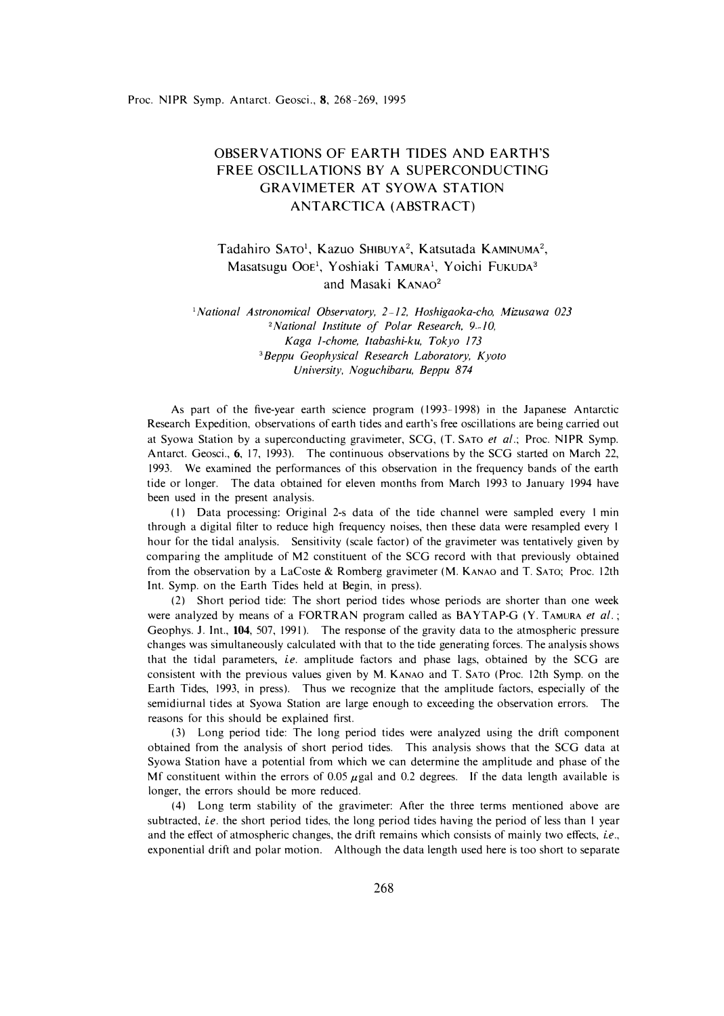## OBSERVATIONS OF EARTH TIDES AND EARTH'S FREE OSCILLATIONS BY A SUPERCONDUCTING GRAVIMETER AT SYOWA STATION ANTARCTICA (ABSTRACT)

Tadahiro SATO<sup>1</sup>, Kazuo SHIBUYA<sup>2</sup>, Katsutada KAMINUMA<sup>2</sup>, Masatsugu Ooe<sup>1</sup>, Yoshiaki TAMURA<sup>1</sup>, Yoichi Fukuda<sup>3</sup> and Masaki KANA0**<sup>2</sup>**

*<sup>1</sup>National Astronomical Observatory, 2 12, Hoshigaoka-cho, Mizusawa 023*  <sup>2</sup>*National Institute of Polar Research, 9-10, Kaga 1-chome, Itabashi-ku, Tokyo 173*  **<sup>3</sup>***Beppu Geophysical Research Laboratory, Kyoto University, Noguchibaru, Beppu 874* 

As part of the five-year earth science program (1993–1998) in the Japanese Antarctic Research Expedition, observations of earth tides and earth's free oscillations are being carried out at Syowa Station by a superconducting gravimeter, SCG, (T. SATO *et al.;* Proc. NIPR Symp. Antarct. Geosci., **6,** 17, 1993). The continuous observations by the SCG started on March 22, 1993. We examined the performances of this observation in the frequency bands of the earth tide or longer. The data obtained for eleven months from March 1993 to January 1994 have been used in the present analysis.

(I) Data processing: Original 2-s data of the tide channel were sampled every I min through a digital filter to reduce high frequency noises, then these data were resampled every I hour for the tidal analysis. Sensitivity (scale factor) of the gravimeter was tentatively given by comparing the amplitude of M2 constituent of the SCG record with that previously obtained from the observation by a LaCoste & Romberg gravimeter (M. KANAO and T. SATO; Proc. 12th Int. Symp. on the Earth Tides held at Begin, in press).

(2) Short period tide: The short period tides whose periods are shorter than one week were analyzed by means of a FORTRAN program called as BAYTAP-G (Y. TAMURA *et al.;*  Geophys. J. Int., **104,** 507, 1991 ). The response of the gravity data to the atmospheric pressure changes was simultaneously calculated with that to the tide generating forces. The analysis shows that the tidal parameters, *i.e.* amplitude factors and phase lags, obtained by the SCG are consistent with the previous values given by M. KANAO and T. SATO (Proc. 12th Symp. on the Earth Tides, 1993, in press). Thus we recognize that the amplitude factors, especially of the semidiurnal tides at Syowa Station are large enough to exceeding the observation errors. The reasons for this should be explained first.

(3) Long period tide: The long period tides were analyzed using the drift component obtained from the analysis of short period tides. This analysis shows that the SCG data at Syowa Station have a potential from which we can determine the amplitude and phase of the Mf constituent within the errors of 0.05  $\mu$ gal and 0.2 degrees. If the data length available is longer, the errors should be more reduced.

(4) Long term stability of the gravimeter: After the three terms mentioned above are subtracted, *i.e.* the short period tides, the long period tides having the period of less than I year and the effect of atmospheric changes, the drift remains which consists of mainly two effects, i.e., exponential drift and polar motion. Although the data length used here is too short to separate